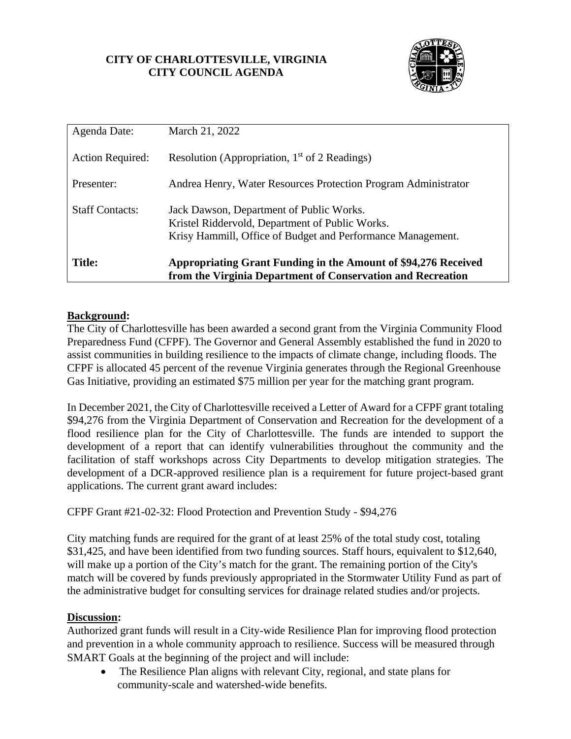## **CITY OF CHARLOTTESVILLE, VIRGINIA CITY COUNCIL AGENDA**



| Agenda Date:            | March 21, 2022                                                                                                                                             |
|-------------------------|------------------------------------------------------------------------------------------------------------------------------------------------------------|
| <b>Action Required:</b> | Resolution (Appropriation, $1st$ of 2 Readings)                                                                                                            |
| Presenter:              | Andrea Henry, Water Resources Protection Program Administrator                                                                                             |
| <b>Staff Contacts:</b>  | Jack Dawson, Department of Public Works.<br>Kristel Riddervold, Department of Public Works.<br>Krisy Hammill, Office of Budget and Performance Management. |
| <b>Title:</b>           | Appropriating Grant Funding in the Amount of \$94,276 Received<br>from the Virginia Department of Conservation and Recreation                              |

# **Background:**

The City of Charlottesville has been awarded a second grant from the [Virginia Community Flood](https://protect-us.mimecast.com/s/8gVDCzpBqQCRvpm7s4oM-H?domain=r20.rs6.net)  [Preparedness Fund](https://protect-us.mimecast.com/s/8gVDCzpBqQCRvpm7s4oM-H?domain=r20.rs6.net) (CFPF). The Governor and General Assembly established the fund in 2020 to assist communities in building resilience to the impacts of climate change, including floods. The CFPF is allocated 45 percent of the revenue Virginia generates through the Regional Greenhouse Gas Initiative, providing an estimated \$75 million per year for the matching grant program.

In December 2021, the City of Charlottesville received a Letter of Award for a CFPF grant totaling \$94,276 from the Virginia Department of Conservation and Recreation for the development of a flood resilience plan for the City of Charlottesville. The funds are intended to support the development of a report that can identify vulnerabilities throughout the community and the facilitation of staff workshops across City Departments to develop mitigation strategies. The development of a DCR-approved resilience plan is a requirement for future project-based grant applications. The current grant award includes:

CFPF Grant #21-02-32: Flood Protection and Prevention Study - \$94,276

City matching funds are required for the grant of at least 25% of the total study cost, totaling \$31,425, and have been identified from two funding sources. Staff hours, equivalent to \$12,640, will make up a portion of the City's match for the grant. The remaining portion of the City's match will be covered by funds previously appropriated in the Stormwater Utility Fund as part of the administrative budget for consulting services for drainage related studies and/or projects.

### **Discussion:**

Authorized grant funds will result in a City-wide Resilience Plan for improving flood protection and prevention in a whole community approach to resilience. Success will be measured through SMART Goals at the beginning of the project and will include:

• The Resilience Plan aligns with relevant City, regional, and state plans for community-scale and watershed-wide benefits.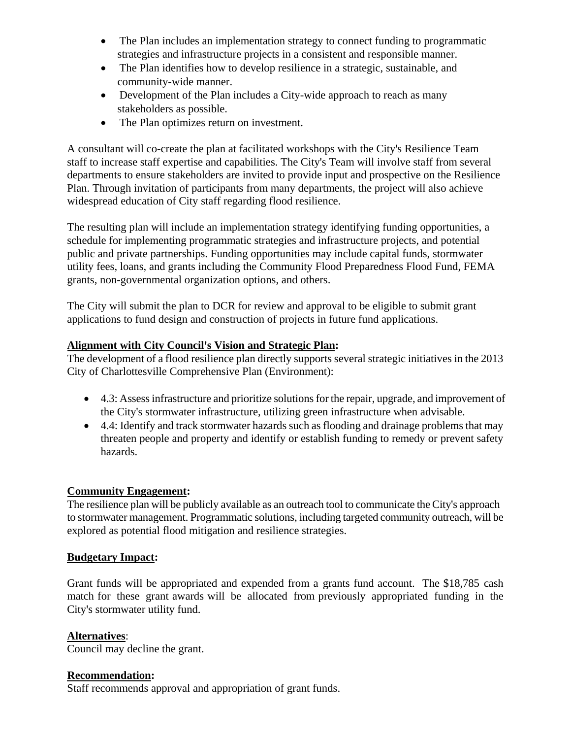- The Plan includes an implementation strategy to connect funding to programmatic strategies and infrastructure projects in a consistent and responsible manner.
- The Plan identifies how to develop resilience in a strategic, sustainable, and community-wide manner.
- Development of the Plan includes a City-wide approach to reach as many stakeholders as possible.
- The Plan optimizes return on investment.

A consultant will co-create the plan at facilitated workshops with the City's Resilience Team staff to increase staff expertise and capabilities. The City's Team will involve staff from several departments to ensure stakeholders are invited to provide input and prospective on the Resilience Plan. Through invitation of participants from many departments, the project will also achieve widespread education of City staff regarding flood resilience.

The resulting plan will include an implementation strategy identifying funding opportunities, a schedule for implementing programmatic strategies and infrastructure projects, and potential public and private partnerships. Funding opportunities may include capital funds, stormwater utility fees, loans, and grants including the Community Flood Preparedness Flood Fund, FEMA grants, non-governmental organization options, and others.

The City will submit the plan to DCR for review and approval to be eligible to submit grant applications to fund design and construction of projects in future fund applications.

### **Alignment with City Council's Vision and Strategic Plan:**

The development of a flood resilience plan directly supports several strategic initiatives in the 2013 City of Charlottesville Comprehensive Plan (Environment):

- 4.3: Assess infrastructure and prioritize solutions for the repair, upgrade, and improvement of the City's stormwater infrastructure, utilizing green infrastructure when advisable.
- 4.4: Identify and track stormwater hazards such as flooding and drainage problems that may threaten people and property and identify or establish funding to remedy or prevent safety hazards.

### **Community Engagement:**

The resilience plan will be publicly available as an outreach tool to communicate the City's approach to stormwater management. Programmatic solutions, including targeted community outreach, will be explored as potential flood mitigation and resilience strategies.

### **Budgetary Impact:**

Grant funds will be appropriated and expended from a grants fund account. The \$18,785 cash match for these grant awards will be allocated from previously appropriated funding in the City's stormwater utility fund.

### **Alternatives**:

Council may decline the grant.

### **Recommendation:**

Staff recommends approval and appropriation of grant funds.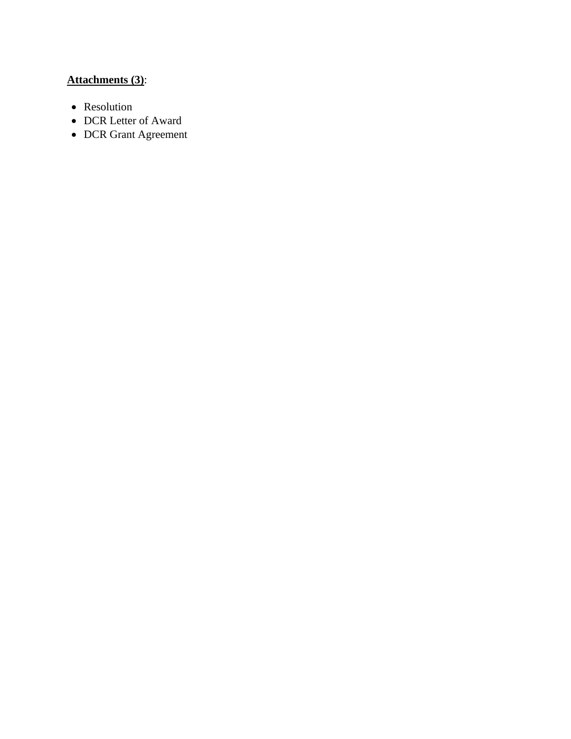# **Attachments (3)**:

- Resolution
- DCR Letter of Award
- DCR Grant Agreement